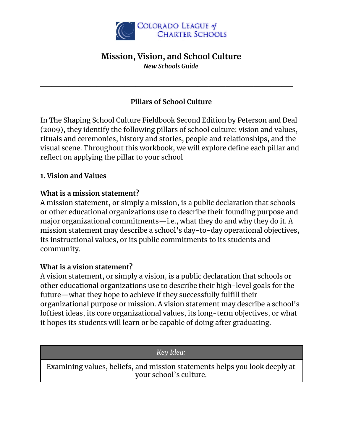

### **Mission, Vision, and School Culture** *New Schools Guide*

### **Pillars of School Culture**

 $\mathcal{L}_\text{max}$  , and the contract of the contract of the contract of the contract of the contract of the contract of the contract of the contract of the contract of the contract of the contract of the contract of the contr

In The Shaping School Culture Fieldbook Second Edition by Peterson and Deal (2009), they identify the following pillars of school culture: vision and values, rituals and ceremonies, history and stories, people and relationships, and the visual scene. Throughout this workbook, we will explore define each pillar and reflect on applying the pillar to your school

### **1. Vision and Values**

### **What is a mission statement?**

A mission statement, or simply a mission, is a public declaration that schools or other educational organizations use to describe their founding purpose and major organizational commitments—i.e., what they do and why they do it. A mission statement may describe a school's day-to-day operational objectives, its instructional values, or its public commitments to its students and community.

#### **What is a vision statement?**

A vision statement, or simply a vision, is a public declaration that schools or other educational organizations use to describe their high-level goals for the future—what they hope to achieve if they successfully fulfill their organizational purpose or mission. A vision statement may describe a school's loftiest ideas, its core organizational values, its long-term objectives, or what it hopes its students will learn or be capable of doing after graduating.

*Key Idea:*

Examining values, beliefs, and mission statements helps you look deeply at your school's culture.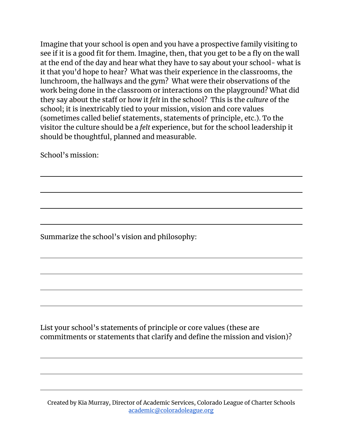Imagine that your school is open and you have a prospective family visiting to see if it is a good fit for them. Imagine, then, that you get to be a fly on the wall at the end of the day and hear what they have to say about your school- what is it that you'd hope to hear? What was their experience in the classrooms, the lunchroom, the hallways and the gym? What were their observations of the work being done in the classroom or interactions on the playground? What did they say about the staff or how it *felt* in the school? This is the *culture* of the school; it is inextricably tied to your mission, vision and core values (sometimes called belief statements, statements of principle, etc.). To the visitor the culture should be a *felt* experience, but for the school leadership it should be thoughtful, planned and measurable.

School's mission:

Summarize the school's vision and philosophy:

List your school's statements of principle or core values (these are commitments or statements that clarify and define the mission and vision)?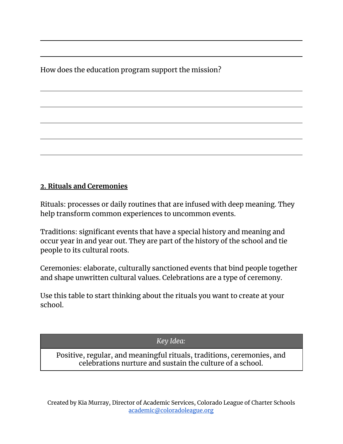How does the education program support the mission?

## **2. Rituals and Ceremonies**

Rituals: processes or daily routines that are infused with deep meaning. They help transform common experiences to uncommon events.

Traditions: significant events that have a special history and meaning and occur year in and year out. They are part of the history of the school and tie people to its cultural roots.

Ceremonies: elaborate, culturally sanctioned events that bind people together and shape unwritten cultural values. Celebrations are a type of ceremony.

Use this table to start thinking about the rituals you want to create at your school.

*Key Idea:*

Positive, regular, and meaningful rituals, traditions, ceremonies, and celebrations nurture and sustain the culture of a school.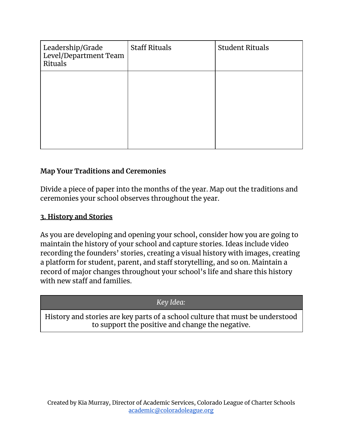| Leadership/Grade<br>Level/Department Team<br>Rituals | <b>Staff Rituals</b> | <b>Student Rituals</b> |
|------------------------------------------------------|----------------------|------------------------|
|                                                      |                      |                        |
|                                                      |                      |                        |

### **Map Your Traditions and Ceremonies**

Divide a piece of paper into the months of the year. Map out the traditions and ceremonies your school observes throughout the year.

### **3. History and Stories**

As you are developing and opening your school, consider how you are going to maintain the history of your school and capture stories. Ideas include video recording the founders' stories, creating a visual history with images, creating a platform for student, parent, and staff storytelling, and so on. Maintain a record of major changes throughout your school's life and share this history with new staff and families.

#### *Key Idea:*

History and stories are key parts of a school culture that must be understood to support the positive and change the negative.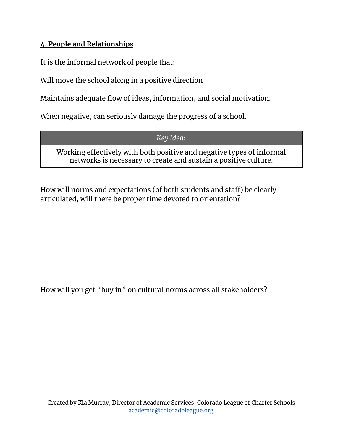## **4. People and Relationships**

It is the informal network of people that:

Will move the school along in a positive direction

Maintains adequate flow of ideas, information, and social motivation.

When negative, can seriously damage the progress of a school.

*Key Idea:*

Working effectively with both positive and negative types of informal networks is necessary to create and sustain a positive culture.

How will norms and expectations (of both students and staff) be clearly articulated, will there be proper time devoted to orientation?

How will you get "buy in" on cultural norms across all stakeholders?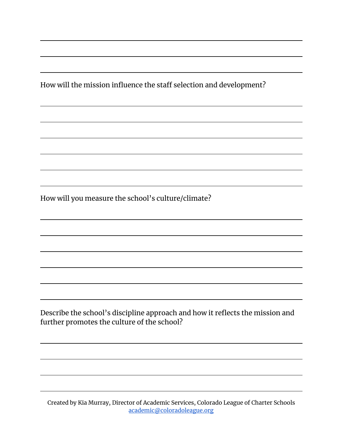How will the mission influence the staff selection and development?

How will you measure the school's culture/climate?

Describe the school's discipline approach and how it reflects the mission and further promotes the culture of the school?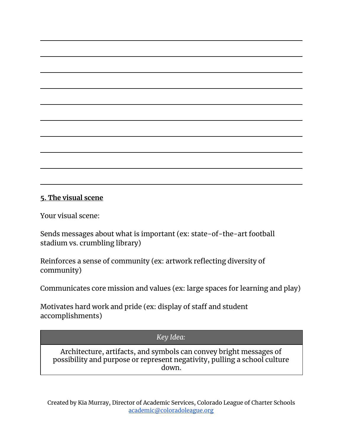#### **5. The visual scene**

Your visual scene:

Sends messages about what is important (ex: state-of-the-art football stadium vs. crumbling library)

Reinforces a sense of community (ex: artwork reflecting diversity of community)

Communicates core mission and values (ex: large spaces for learning and play)

Motivates hard work and pride (ex: display of staff and student accomplishments)

#### *Key Idea:*

Architecture, artifacts, and symbols can convey bright messages of possibility and purpose or represent negativity, pulling a school culture down.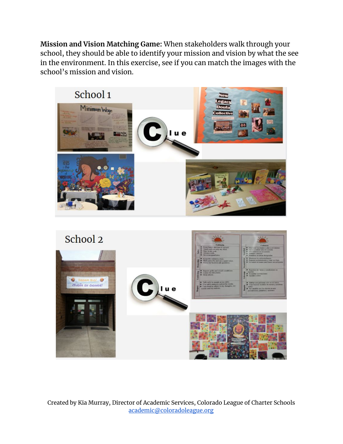**Mission and Vision Matching Game:** When stakeholders walk through your school, they should be able to identify your mission and vision by what the see in the environment. In this exercise, see if you can match the images with the school's mission and vision.

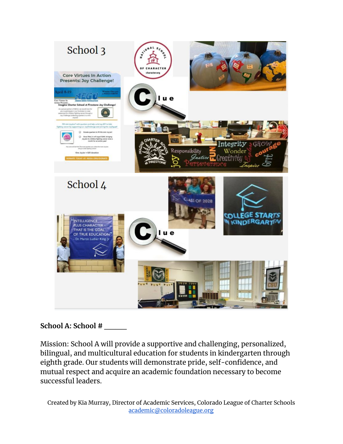

## **School A: School # \_\_\_\_**

Mission: School A will provide a supportive and challenging, personalized, bilingual, and multicultural education for students in kindergarten through eighth grade. Our students will demonstrate pride, self-confidence, and mutual respect and acquire an academic foundation necessary to become successful leaders.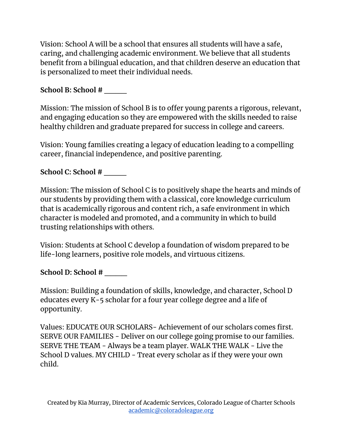Vision: School A will be a school that ensures all students will have a safe, caring, and challenging academic environment. We believe that all students benefit from a bilingual education, and that children deserve an education that is personalized to meet their individual needs.

# **School B: School # \_\_\_\_**

Mission: The mission of School B is to offer young parents a rigorous, relevant, and engaging education so they are empowered with the skills needed to raise healthy children and graduate prepared for success in college and careers.

Vision: Young families creating a legacy of education leading to a compelling career, financial independence, and positive parenting.

# **School C: School # \_\_\_\_**

Mission: The mission of School C is to positively shape the hearts and minds of our students by providing them with a classical, core knowledge curriculum that is academically rigorous and content rich, a safe environment in which character is modeled and promoted, and a community in which to build trusting relationships with others.

Vision: Students at School C develop a foundation of wisdom prepared to be life-long learners, positive role models, and virtuous citizens.

## **School D: School # \_\_\_\_**

Mission: Building a foundation of skills, knowledge, and character, School D educates every K-5 scholar for a four year college degree and a life of opportunity.

Values: EDUCATE OUR SCHOLARS- Achievement of our scholars comes first. SERVE OUR FAMILIES - Deliver on our college going promise to our families. SERVE THE TEAM - Always be a team player. WALK THE WALK - Live the School D values. MY CHILD - Treat every scholar as if they were your own child.